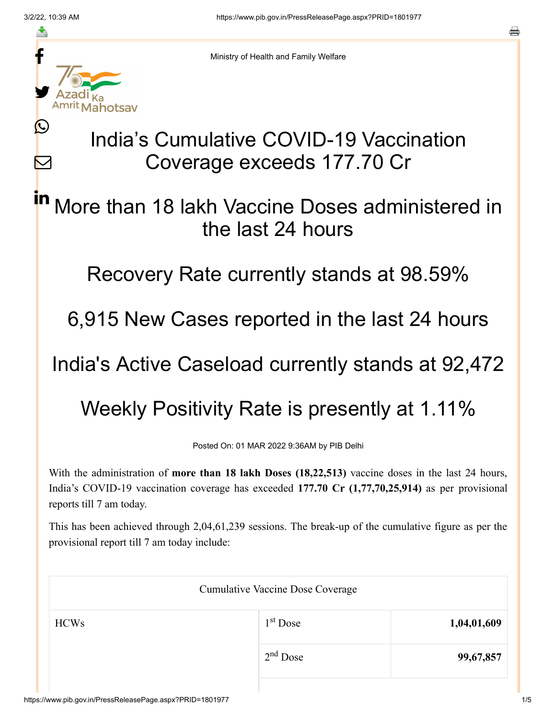≛

Ŀ

 $\bm{\nabla}$ 



Ministry of Health and Family Welfare

## India's Cumulative COVID-19 Vaccination Coverage exceeds 177.70 Cr

## More than 18 lakh Vaccine Doses administered in the last 24 hours in

Recovery Rate currently stands at 98.59%

6,915 New Cases reported in the last 24 hours

India's Active Caseload currently stands at 92,472

Weekly Positivity Rate is presently at 1.11%

Posted On: 01 MAR 2022 9:36AM by PIB Delhi

With the administration of **more than 18 lakh Doses (18,22,513)** vaccine doses in the last 24 hours, India's COVID-19 vaccination coverage has exceeded **177.70 Cr (1,77,70,25,914)** as per provisional reports till 7 am today.

This has been achieved through 2,04,61,239 sessions. The break-up of the cumulative figure as per the provisional report till 7 am today include:

| <b>Cumulative Vaccine Dose Coverage</b> |            |             |  |
|-----------------------------------------|------------|-------------|--|
| <b>HCWs</b>                             | $1st$ Dose | 1,04,01,609 |  |
|                                         | $2nd$ Dose | 99,67,857   |  |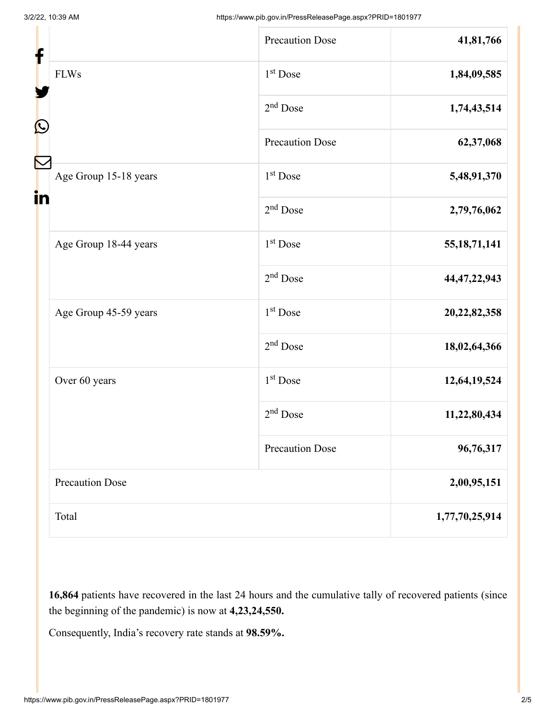| f<br>C |                        | <b>Precaution Dose</b> | 41,81,766       |
|--------|------------------------|------------------------|-----------------|
|        | <b>FLWs</b>            | 1 <sup>st</sup> Dose   | 1,84,09,585     |
|        |                        | $2nd$ Dose             | 1,74,43,514     |
|        |                        | <b>Precaution Dose</b> | 62,37,068       |
| in     | Age Group 15-18 years  | 1 <sup>st</sup> Dose   | 5,48,91,370     |
|        |                        | $2nd$ Dose             | 2,79,76,062     |
|        | Age Group 18-44 years  | $1st$ Dose             | 55, 18, 71, 141 |
|        |                        | $2nd$ Dose             | 44, 47, 22, 943 |
|        | Age Group 45-59 years  | 1 <sup>st</sup> Dose   | 20,22,82,358    |
|        |                        | $2nd$ Dose             | 18,02,64,366    |
|        | Over 60 years          | $1st$ Dose             | 12,64,19,524    |
|        |                        | $2nd$ Dose             | 11,22,80,434    |
|        |                        | <b>Precaution Dose</b> | 96,76,317       |
|        | <b>Precaution Dose</b> |                        | 2,00,95,151     |
|        | Total                  |                        | 1,77,70,25,914  |

**16,864** patients have recovered in the last 24 hours and the cumulative tally of recovered patients (since the beginning of the pandemic) is now at **4,23,24,550.**

Consequently, India's recovery rate stands at **98.59%.**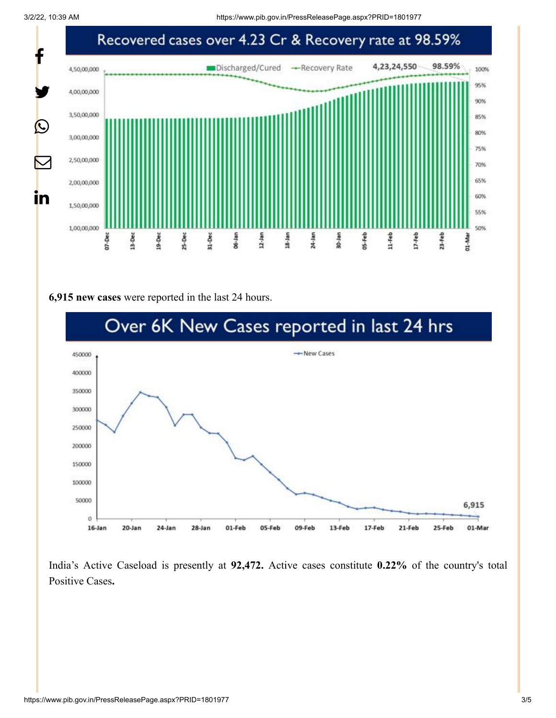

## **6,915 new cases** were reported in the last 24 hours.



India's Active Caseload is presently at **92,472.** Active cases constitute **0.22%** of the country's total Positive Cases**.**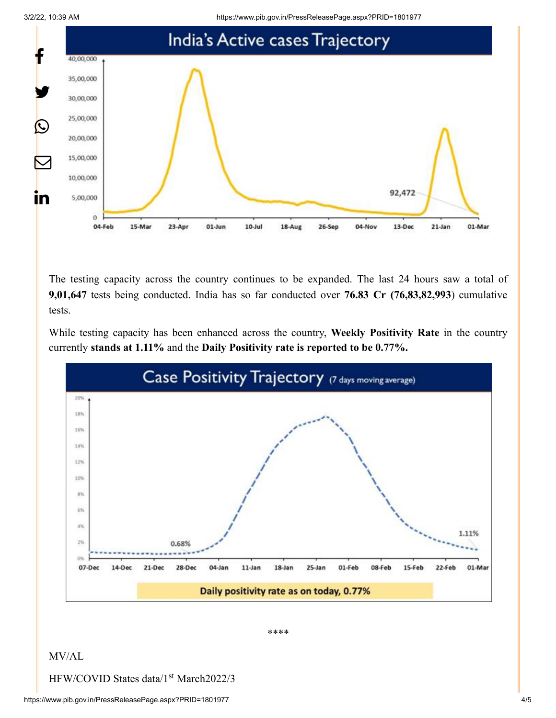



The testing capacity across the country continues to be expanded. The last 24 hours saw a total of **9,01,647** tests being conducted. India has so far conducted over **76.83 Cr (76,83,82,993**) cumulative tests.

While testing capacity has been enhanced across the country, **Weekly Positivity Rate** in the country currently **stands at 1.11%** and the **Daily Positivity rate is reported to be 0.77%.**



\*\*\*\*

## MV/AL

HFW/COVID States data/1<sup>st</sup> March2022/3